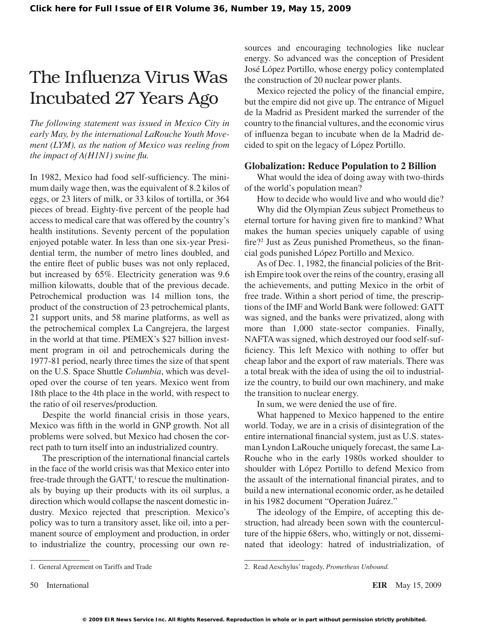## The Influenza Virus Was Incubated 27 Years Ago

*The following statement was issued in Mexico City in early May, by the international LaRouche Youth Movement (LYM), as the nation of Mexico was reeling from the impact of A(H1N1) swine flu.*

In 1982, Mexico had food self-sufficiency. The minimum daily wage then, wasthe equivalent of 8.2 kilos of eggs, or 23 liters of milk, or 33 kilos of tortilla, or 364 pieces of bread. Eighty-five percent of the people had access to medical care that was offered by the country's health institutions. Seventy percent of the population enjoyed potable water. In less than one six-year Presidential term, the number of metro lines doubled, and the entire fleet of public buses was not only replaced, but increased by 65%. Electricity generation was 9.6 million kilowatts, double that of the previous decade. Petrochemical production was 14 million tons, the product of the construction of 23 petrochemical plants, 21 support units, and 58 marine platforms, as well as the petrochemical complex La Cangrejera, the largest in the world at that time. PEMEX's \$27 billion investment program in oil and petrochemicals during the 1977-81 period, nearly three times the size of that spent on the U.S. Space Shuttle *Columbia*, which was developed over the course of ten years. Mexico went from 18th place to the 4th place in the world, with respect to the ratio of oil reserves/production.

Despite the world financial crisis in those years, Mexico was fifth in the world in GNP growth. Not all problems were solved, but Mexico had chosen the correct path to turn itself into an industrialized country.

The prescription of the international financial cartels in the face of the world crisis was that Mexico enter into free-trade through the GATT,<sup>1</sup> to rescue the multinationals by buying up their products with its oil surplus, a direction which would collapse the nascent domestic industry. Mexico rejected that prescription. Mexico's policy was to turn a transitory asset, like oil, into a permanent source of employment and production, in order to industrialize the country, processing our own resources and encouraging technologies like nuclear energy. So advanced was the conception of President José López Portillo, whose energy policy contemplated the construction of 20 nuclear power plants.

Mexico rejected the policy of the financial empire, but the empire did not give up. The entrance of Miguel de la Madrid as President marked the surrender of the country to the financial vultures, and the economic virus of influenza began to incubate when de la Madrid decided to spit on the legacy of López Portillo.

## **Globalization: Reduce Population to 2 Billion**

What would the idea of doing away with two-thirds of the world's population mean?

How to decide who would live and who would die?

Why did the Olympian Zeus subject Prometheus to eternal torture for having given fire to mankind? What makes the human species uniquely capable of using fire?2 Just as Zeus punished Prometheus, so the financial gods punished López Portillo and Mexico.

As of Dec. 1, 1982, the financial policies of the British Empire took over the reins of the country, erasing all the achievements, and putting Mexico in the orbit of free trade. Within a short period of time, the prescriptions of the IMF and World Bank were followed: GATT was signed, and the banks were privatized, along with more than 1,000 state-sector companies. Finally, NAFTAwas signed, which destroyed our food self-sufficiency. This left Mexico with nothing to offer but cheap labor and the export of raw materials. There was a total break with the idea of using the oil to industrialize the country, to build our own machinery, and make the transition to nuclear energy.

In sum, we were denied the use of fire.

What happened to Mexico happened to the entire world. Today, we are in a crisis of disintegration of the entire international financial system, just as U.S. statesman Lyndon LaRouche uniquely forecast, the same La-Rouche who in the early 1980s worked shoulder to shoulder with López Portillo to defend Mexico from the assault of the international financial pirates, and to build a new international economic order, as he detailed in his 1982 document "Operation Juárez."

The ideology of the Empire, of accepting this destruction, had already been sown with the counterculture of the hippie 68ers, who, wittingly or not, disseminated that ideology: hatred of industrialization, of

50 International **EIR** May 15, 2009

<sup>1.</sup> General Agreement on Tariffs and Trade

<sup>2.</sup> Read Aeschylus'tragedy, *Prometheus Unbound.*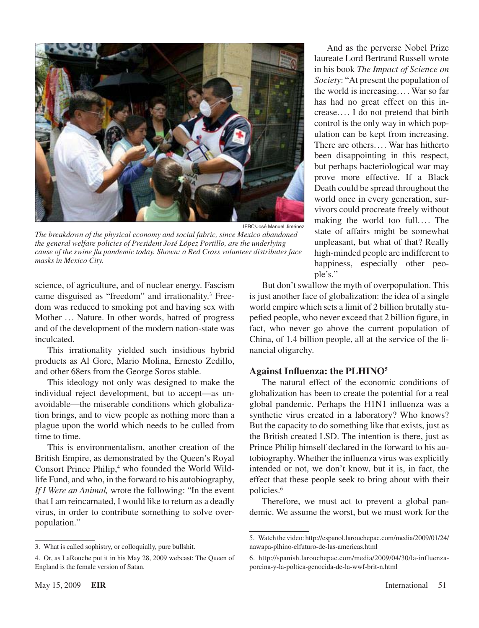

*The breakdown of the physical economy and social fabric, since Mexico abandoned the general welfare policies of President José López Portillo, are the underlying cause of the swine flu pandemic today. Shown: a Red Cross volunteer distributes face masks in Mexico City.*

science, of agriculture, and of nuclear energy. Fascism came disguised as "freedom" and irrationality.<sup>3</sup> Freedom was reduced to smoking pot and having sex with Mother ... Nature. In other words, hatred of progress and of the development of the modern nation-state was inculcated.

This irrationality yielded such insidious hybrid products as Al Gore, Mario Molina, Ernesto Zedillo, and other 68ers from the George Soros stable.

This ideology not only was designed to make the individual reject development, but to accept—as unavoidable—the miserable conditions which globalization brings, and to view people as nothing more than a plague upon the world which needs to be culled from time to time.

This is environmentalism, another creation of the British Empire, as demonstrated by the Queen's Royal Consort Prince Philip,<sup>4</sup> who founded the World Wildlife Fund, and who, in the forward to his autobiography, *If I Were an Animal,* wrote the following: "In the event that I am reincarnated, I would like to return as a deadly virus, in order to contribute something to solve overpopulation."

And as the perverse Nobel Prize laureate Lord Bertrand Russell wrote in his book *The Impact of Science on Society*: "At present the population of the world is increasing. ... War so far has had no great effect on this increase.. . . I do not pretend that birth control is the only way in which population can be kept from increasing. There are others.... War has hitherto been disappointing in this respect, but perhaps bacteriological war may prove more effective. If a Black Death could be spread throughout the world once in every generation, survivors could procreate freely without making the world too full.... The state of affairs might be somewhat unpleasant, but what of that? Really high-minded people are indifferent to happiness, especially other people's."

But don't swallow the myth of overpopulation. This is just another face of globalization: the idea of a single world empire which sets a limit of 2 billion brutally stupefied people, who never exceed that 2 billion figure, in fact, who never go above the current population of China, of 1.4 billion people, all at the service of the financial oligarchy.

## **Against Influenza: the PLHINO**

The natural effect of the economic conditions of globalization has been to create the potential for a real global pandemic. Perhaps the H1N1 influenza was a synthetic virus created in a laboratory? Who knows? But the capacity to do something like that exists, just as the British created LSD. The intention is there, just as Prince Philip himself declared in the forward to his autobiography. Whether the influenza virus was explicitly intended or not, we don't know, but it is, in fact, the effect that these people seek to bring about with their policies.6

Therefore, we must act to prevent a global pandemic. We assume the worst, but we must work for the

<sup>3.</sup> What is called sophistry, or colloquially, pure bullshit.

<sup>4.</sup> Or, as LaRouche put it in his May 28, 2009 webcast: The Queen of England is the female version of Satan.

<sup>5.</sup> Watch the video: http://espanol.larouchepac.com/media/2009/01/24/ nawapa-plhino-elfuturo-de-las-americas.html

<sup>6.</sup> http://spanish.larouchepac.com/media/2009/04/30/la-influenzaporcina-y-la-poltica-genocida-de-la-wwf-brit-n.html